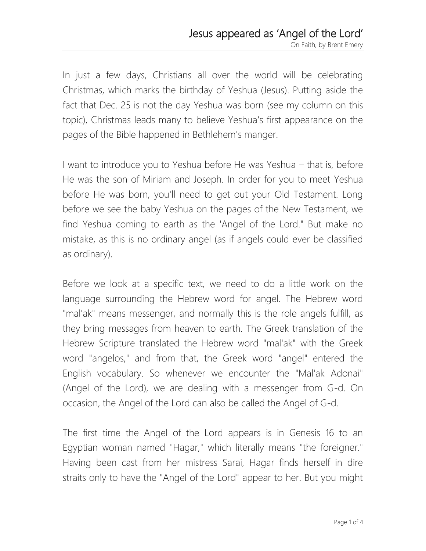In just a few days, Christians all over the world will be celebrating Christmas, which marks the birthday of Yeshua (Jesus). Putting aside the fact that Dec. 25 is not the day Yeshua was born (see my column on this topic), Christmas leads many to believe Yeshua's first appearance on the pages of the Bible happened in Bethlehem's manger.

I want to introduce you to Yeshua before He was Yeshua – that is, before He was the son of Miriam and Joseph. In order for you to meet Yeshua before He was born, you'll need to get out your Old Testament. Long before we see the baby Yeshua on the pages of the New Testament, we find Yeshua coming to earth as the 'Angel of the Lord." But make no mistake, as this is no ordinary angel (as if angels could ever be classified as ordinary).

Before we look at a specific text, we need to do a little work on the language surrounding the Hebrew word for angel. The Hebrew word "mal'ak" means messenger, and normally this is the role angels fulfill, as they bring messages from heaven to earth. The Greek translation of the Hebrew Scripture translated the Hebrew word "mal'ak" with the Greek word "angelos," and from that, the Greek word "angel" entered the English vocabulary. So whenever we encounter the "Mal'ak Adonai" (Angel of the Lord), we are dealing with a messenger from G-d. On occasion, the Angel of the Lord can also be called the Angel of G-d.

The first time the Angel of the Lord appears is in Genesis 16 to an Egyptian woman named "Hagar," which literally means "the foreigner." Having been cast from her mistress Sarai, Hagar finds herself in dire straits only to have the "Angel of the Lord" appear to her. But you might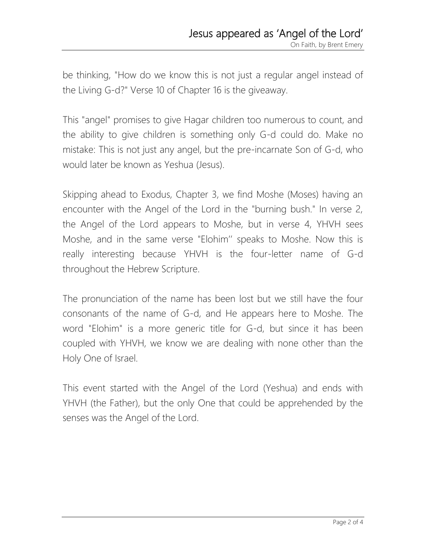be thinking, "How do we know this is not just a regular angel instead of the Living G-d?" Verse 10 of Chapter 16 is the giveaway.

This "angel" promises to give Hagar children too numerous to count, and the ability to give children is something only G-d could do. Make no mistake: This is not just any angel, but the pre-incarnate Son of G-d, who would later be known as Yeshua (Jesus).

Skipping ahead to Exodus, Chapter 3, we find Moshe (Moses) having an encounter with the Angel of the Lord in the "burning bush." In verse 2, the Angel of the Lord appears to Moshe, but in verse 4, YHVH sees Moshe, and in the same verse "Elohim'' speaks to Moshe. Now this is really interesting because YHVH is the four-letter name of G-d throughout the Hebrew Scripture.

The pronunciation of the name has been lost but we still have the four consonants of the name of G-d, and He appears here to Moshe. The word "Elohim" is a more generic title for G-d, but since it has been coupled with YHVH, we know we are dealing with none other than the Holy One of Israel.

This event started with the Angel of the Lord (Yeshua) and ends with YHVH (the Father), but the only One that could be apprehended by the senses was the Angel of the Lord.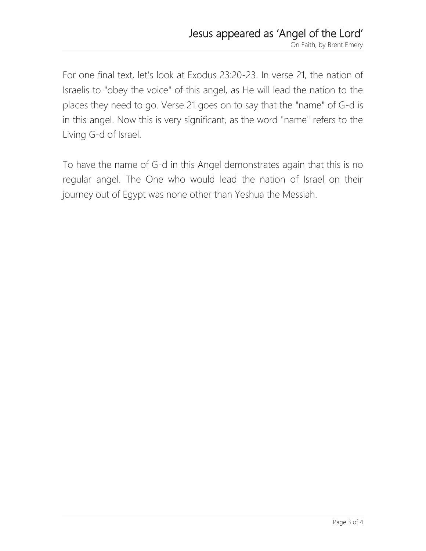For one final text, let's look at Exodus 23:20-23. In verse 21, the nation of Israelis to "obey the voice" of this angel, as He will lead the nation to the places they need to go. Verse 21 goes on to say that the "name" of G-d is in this angel. Now this is very significant, as the word "name" refers to the Living G-d of Israel.

To have the name of G-d in this Angel demonstrates again that this is no regular angel. The One who would lead the nation of Israel on their journey out of Egypt was none other than Yeshua the Messiah.